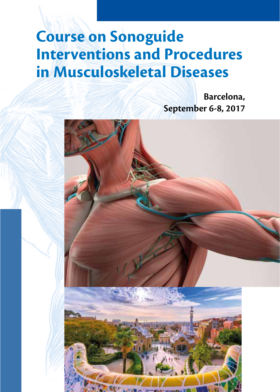**Barcelona, September 6-8, 2017** 

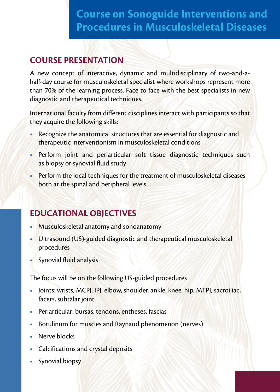### **COURSE PRESENTATION**

A new concept of interactive, dynamic and multidisciplinary of two-and-ahalf-day course for musculoskeletal specialist where workshops represent more than 70% of the learning process. Face to face with the best specialists in new diagnostic and therapeutical techniques.

International faculty from different disciplines interact with participants so that they acquire the following skills:

- **•** Recognize the anatomical structures that are essential for diagnostic and therapeutic interventionism in musculoskeletal conditions
- **•** Perform joint and periarticular soft tissue diagnostic techniques such as biopsy or synovial fluid study
- **•** Perform the local techniques for the treatment of musculoskeletal diseases both at the spinal and peripheral levels

### **EDUCATIONAL OBJECTIVES**

- **•** Musculoskeletal anatomy and sonoanatomy
- **•** Ultrasound (US)-guided diagnostic and therapeutical musculoskeletal procedures
- **•** Synovial fluid analysis

The focus will be on the following US-guided procedures

- **•** Joints: wrists, MCPJ, IPJ, elbow, shoulder, ankle, knee, hip, MTPJ, sacroiliac, facets, subtalar joint
- **•** Periarticular: bursas, tendons, entheses, fascias
- **•** Botulinum for muscles and Raynaud phenomenon (nerves)
- **•** Nerve blocks
- **•** Calcifications and crystal deposits
- **•** Synovial biopsy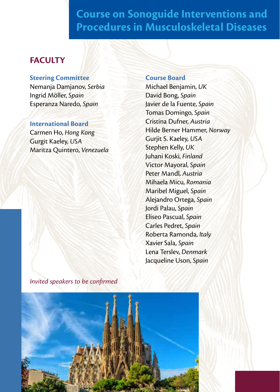### **FACULTY**

#### **Steering Committee**

Nemanja Damjanov, *Serbia* Ingrid Möller, *Spain* Esperanza Naredo, *Spain*

#### **International Board**

Carmen Ho, *Hong Kong* Gurgit Kaeley, *USA* Maritza Quintero, *Venezuela*

#### **Course Board**

Michael Benjamin, *UK* David Bong, *Spain* Javier de la Fuente, *Spain* Tomas Domingo, *Spain* Cristina Dufner, *Austria* Hilde Berner Hammer, *Norway* Gurjit S. Kaeley, *USA* Stephen Kelly, *UK* Juhani Koski, *Finland* Victor Mayoral, *Spain* Peter Mandl, *Austria* Mihaela Micu, *Romania* Maribel Miguel, *Spain* Alejandro Ortega, *Spain* Jordi Palau, *Spain* Eliseo Pascual, *Spain* Carles Pedret, *Spain* Roberta Ramonda, *Italy* Xavier Sala, *Spain* Lena Terslev, *Denmark* Jacqueline Uson, *Spain*

*Invited speakers to be confirmed*

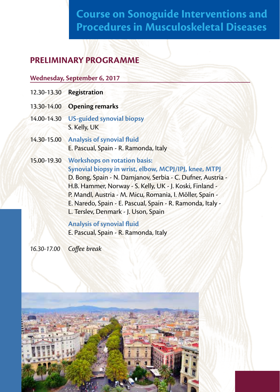## **PRELIMINARY PROGRAMME**

#### **Wednesday, September 6, 2017**

- 12.30-13.30 **Registration**
- 13.30-14.00 **Opening remarks**
- 14.00-14.30 **US-guided synovial biopsy**  S. Kelly, UK
- 14.30-15.00 **Analysis of synovial fluid** E. Pascual, Spain - R. Ramonda, Italy
- 15.00-19.30 **Workshops on rotation basis: Synovial biopsy in wrist, elbow, MCPJ/IPJ, knee, MTPJ**  D. Bong, Spain - N. Damjanov, Serbia - C. Dufner, Austria - H.B. Hammer, Norway - S. Kelly, UK - J. Koski, Finland - P. Mandl, Austria - M. Micu, Romania, I. Möller, Spain - E. Naredo, Spain - E. Pascual, Spain - R. Ramonda, Italy - L. Terslev, Denmark - J. Uson, Spain

#### **Analysis of synovial fluid**

E. Pascual, Spain - R. Ramonda, Italy

*16.30-17.00 Coffee break*

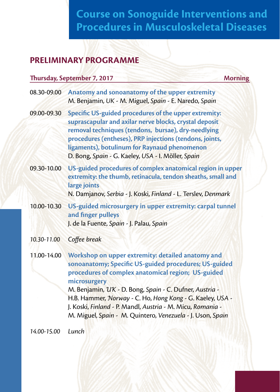### **PRELIMINARY PROGRAMME**

#### **Thursday, September 7, 2017** Morning

| Anatomy and sonoanatomy of the upper extremity<br>M. Benjamin, UK - M. Miguel, Spain - E. Naredo, Spain                                                                                                                                                                                                                                 |
|-----------------------------------------------------------------------------------------------------------------------------------------------------------------------------------------------------------------------------------------------------------------------------------------------------------------------------------------|
| Specific US-guided procedures of the upper extremity:<br>suprascapular and axilar nerve blocks, crystal deposit<br>removal techniques (tendons, bursae), dry-needlying<br>procedures (entheses), PRP injections (tendons, joints,<br>ligaments), botulinum for Raynaud phenomenon<br>D. Bong, Spain - G. Kaeley, USA - I. Möller, Spain |
| US-guided procedures of complex anatomical region in upper<br>extremity: the thumb, retinacula, tendon sheaths, small and<br>large joints<br>N. Damjanov, Serbia - J. Koski, Finland - L. Terslev, Denmark                                                                                                                              |
| US-guided microsurgery in upper extremity: carpal tunnel<br>and finger pulleys<br>J. de la Fuente, Spain - J. Palau, Spain                                                                                                                                                                                                              |
| Coffee break                                                                                                                                                                                                                                                                                                                            |
| Workshop on upper extremity: detailed anatomy and<br>sonoanatomy; Specific US-guided procedures; US-guided<br>procedures of complex anatomical region; US-guided<br>microsurgery<br>M. Benjamin, UK - D. Bong, Spain - C. Dufner, Austria -                                                                                             |
|                                                                                                                                                                                                                                                                                                                                         |

H.B. Hammer, *Norway* - C. Ho, *Hong Kong* - G. Kaeley, *USA* - J. Koski, *Finland* - P. Mandl, *Austria* - M. Micu, *Romania* - M. Miguel, *Spain* - M. Quintero, *Venezuela* - J. Uson, *Spain*

*14.00-15.00 Lunch*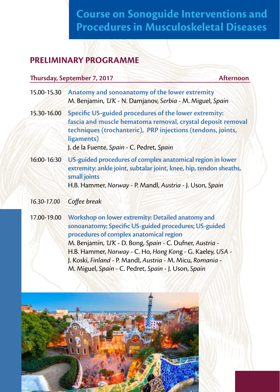### **PRELIMINARY PROGRAMME**

#### **Thursday, September 7, 2017** Afternoon

- 15.00-15.30 **Anatomy and sonoanatomy of the lower extremity** M. Benjamin, *UK* - N. Damjanov, *Serbia* - M. Miguel, *Spain*
- 15.30-16.00 **Specific US-guided procedures of the lower extremity: fascia and muscle hematoma removal, crystal deposit removal techniques (trochanteric), PRP injections (tendons, joints, ligaments)**  J. de la Fuente, *Spain* - C. Pedret, *Spain*
- 16:00-16:30 **US-guided procedures of complex anatomical region in lower extremity: ankle joint, subtalar joint, knee, hip, tendon sheaths, small joints**  H.B. Hammer, *Norway* - P. Mandl, *Austria* - J. Uson, *Spain*

#### *16.30-17.00 Coffee break*

17.00-19.00 **Workshop on lower extremity: Detailed anatomy and sonoanatomy; Specific US-guided procedures; US-guided procedures of complex anatomical region**  M. Benjamin, *UK* - D. Bong, *Spain* - C. Dufner, *Austria* - H.B. Hammer, *Norway* - C. Ho, *Hong Kon*g - G. Kaeley, *USA* - J. Koski, *Finland* - P. Mandl, *Austria* - M. Micu, *Romania* - M. Miguel, *Spain* - C. Pedret, *Spain* - J. Uson, *Spain*

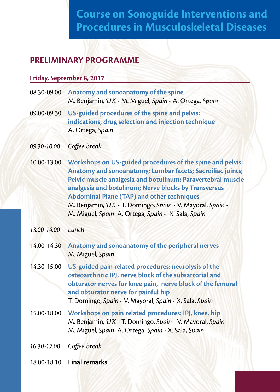### **PRELIMINARY PROGRAMME**

#### **Friday, September 8, 2017**

| 08.30-09.00 Anatomy and sonoanatomy of the spine      |
|-------------------------------------------------------|
| M. Benjamin, UK - M. Miguel, Spain - A. Ortega, Spain |

- 09.00-09.30 **US-guided procedures of the spine and pelvis: indications, drug selection and injection technique** A. Ortega, *Spain*
- *09.30-10.00 Coffee break*
- 10.00-13.00 **Workshops on US-guided procedures of the spine and pelvis: Anatomy and sonoanatomy; Lumbar facets; Sacroiliac joints; Pelvic muscle analgesia and botulinum; Paravertebral muscle analgesia and botulinum; Nerve blocks by Transversus Abdominal Plane (TAP) and other techniques**  M. Benjamin, *UK* - T. Domingo, *Spain* - V. Mayoral, *Spain* - M. Miguel, *Spain* A. Ortega, *Spain* - X. Sala, *Spain*
- *13.00-14.00 Lunch*
- 14.00-14.30 **Anatomy and sonoanatomy of the peripheral nerves**  M. Miguel, *Spain*
- 14.30-15.00 **US-guided pain related procedures: neurolysis of the osteoarthritic IPJ, nerve block of the subsartorial and obturator nerves for knee pain, nerve block of the femoral and obturator nerve for painful hip**  T. Domingo, *Spain* - V. Mayoral, *Spain* - X. Sala, *Spain*
- 15.00-18.00 **Workshops on pain related procedures: IPJ, knee, hip** M. Benjamin, *UK* - T. Domingo, *Spain* - V. Mayoral, *Spain* - M. Miguel, *Spain* A. Ortega, *Spain* - X. Sala, *Spain*

*16.30-17.00 Coffee break*

18.00-18.10 **Final remarks**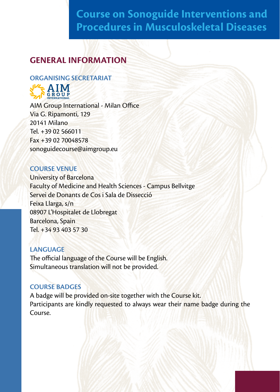### **GENERAL INFORMATION**

#### **ORGANISING SECRETARIAT**



AIM Group International - Milan Office Via G. Ripamonti, 129 20141 Milano Tel. +39 02 566011 Fax +39 02 70048578 sonoguidecourse@aimgroup.eu

#### **COURSE VENUE**

University of Barcelona Faculty of Medicine and Health Sciences - Campus Bellvitge Servei de Donants de Cos i Sala de Dissecció Feixa Llarga, s/n 08907 L'Hospitalet de Llobregat Barcelona, Spain Tel. +34 93 403 57 30

#### **LANGUAGE**

The official language of the Course will be English. Simultaneous translation will not be provided.

#### **COURSE BADGES**

A badge will be provided on-site together with the Course kit. Participants are kindly requested to always wear their name badge during the Course.